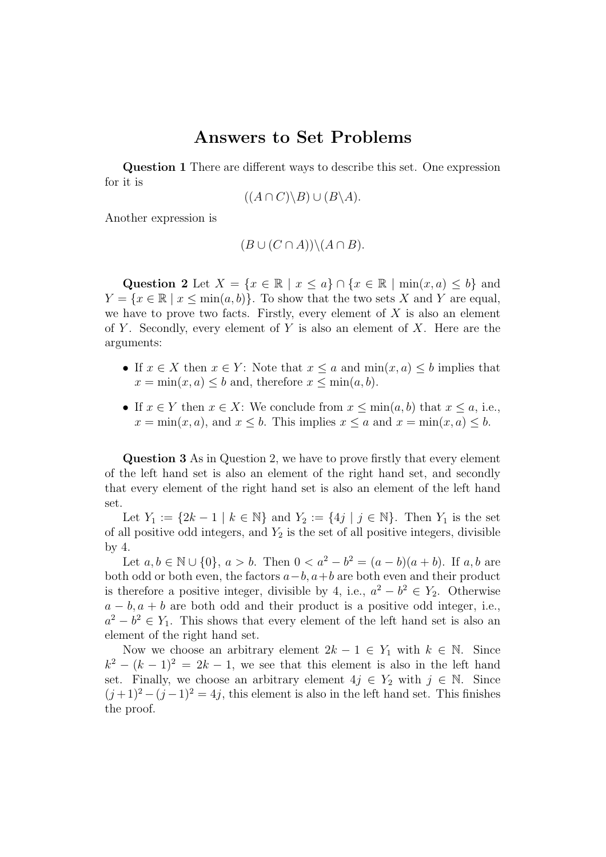## Answers to Set Problems

Question 1 There are different ways to describe this set. One expression for it is

$$
((A \cap C) \backslash B) \cup (B \backslash A).
$$

Another expression is

$$
(B \cup (C \cap A)) \setminus (A \cap B).
$$

Question 2 Let  $X = \{x \in \mathbb{R} \mid x \leq a\} \cap \{x \in \mathbb{R} \mid \min(x, a) \leq b\}$  and  $Y = \{x \in \mathbb{R} \mid x \le \min(a, b)\}\.$  To show that the two sets X and Y are equal, we have to prove two facts. Firstly, every element of  $X$  is also an element of Y. Secondly, every element of Y is also an element of X. Here are the arguments:

- If  $x \in X$  then  $x \in Y$ : Note that  $x \le a$  and  $\min(x, a) \le b$  implies that  $x = \min(x, a) \leq b$  and, therefore  $x \leq \min(a, b)$ .
- If  $x \in Y$  then  $x \in X$ : We conclude from  $x \le \min(a, b)$  that  $x \le a$ , i.e.,  $x = \min(x, a)$ , and  $x \leq b$ . This implies  $x \leq a$  and  $x = \min(x, a) \leq b$ .

Question 3 As in Question 2, we have to prove firstly that every element of the left hand set is also an element of the right hand set, and secondly that every element of the right hand set is also an element of the left hand set.

Let  $Y_1 := \{2k-1 \mid k \in \mathbb{N}\}\$ and  $Y_2 := \{4j \mid j \in \mathbb{N}\}\$ . Then  $Y_1$  is the set of all positive odd integers, and  $Y_2$  is the set of all positive integers, divisible by 4.

Let  $a, b \in \mathbb{N} \cup \{0\}, a > b$ . Then  $0 < a^2 - b^2 = (a - b)(a + b)$ . If  $a, b$  are both odd or both even, the factors  $a-b$ ,  $a+b$  are both even and their product is therefore a positive integer, divisible by 4, i.e.,  $a^2 - b^2 \in Y_2$ . Otherwise  $a - b$ ,  $a + b$  are both odd and their product is a positive odd integer, i.e.,  $a^2 - b^2 \in Y_1$ . This shows that every element of the left hand set is also an element of the right hand set.

Now we choose an arbitrary element  $2k - 1 \in Y_1$  with  $k \in \mathbb{N}$ . Since  $k^2 - (k-1)^2 = 2k - 1$ , we see that this element is also in the left hand set. Finally, we choose an arbitrary element  $4j \in Y_2$  with  $j \in \mathbb{N}$ . Since  $(j+1)^2 - (j-1)^2 = 4j$ , this element is also in the left hand set. This finishes the proof.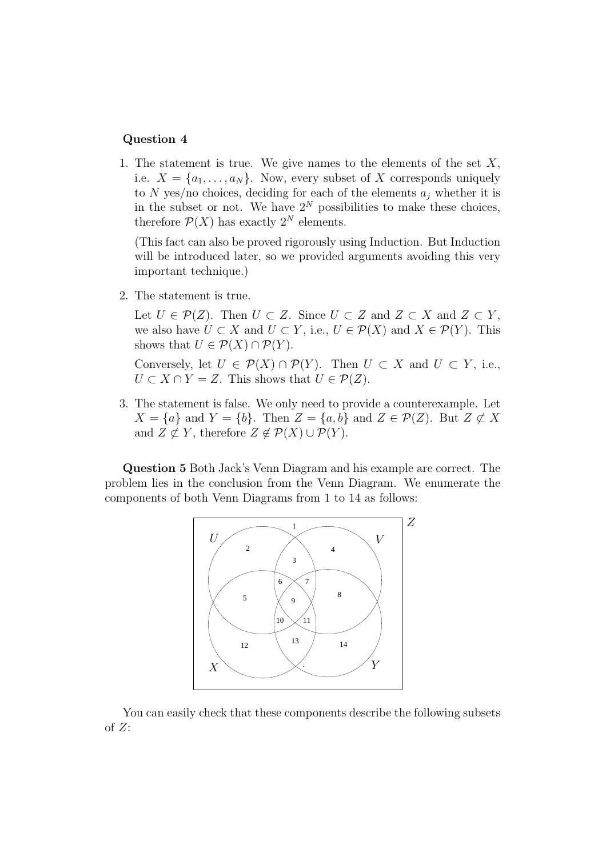## Question 4

1. The statement is true. We give names to the elements of the set  $X$ , i.e.  $X = \{a_1, \ldots, a_N\}$ . Now, every subset of X corresponds uniquely to N yes/no choices, deciding for each of the elements  $a_i$  whether it is in the subset or not. We have  $2^N$  possibilities to make these choices, therefore  $\mathcal{P}(X)$  has exactly  $2^N$  elements.

(This fact can also be proved rigorously using Induction. But Induction will be introduced later, so we provided arguments avoiding this very important technique.)

2. The statement is true.

Let  $U \in \mathcal{P}(Z)$ . Then  $U \subset Z$ . Since  $U \subset Z$  and  $Z \subset X$  and  $Z \subset Y$ , we also have  $U \subset X$  and  $U \subset Y$ , i.e.,  $U \in \mathcal{P}(X)$  and  $X \in \mathcal{P}(Y)$ . This shows that  $U \in \mathcal{P}(X) \cap \mathcal{P}(Y)$ .

Conversely, let  $U \in \mathcal{P}(X) \cap \mathcal{P}(Y)$ . Then  $U \subset X$  and  $U \subset Y$ , i.e.,  $U \subset X \cap Y = Z$ . This shows that  $U \in \mathcal{P}(Z)$ .

3. The statement is false. We only need to provide a counterexample. Let  $X = \{a\}$  and  $Y = \{b\}$ . Then  $Z = \{a, b\}$  and  $Z \in \mathcal{P}(Z)$ . But  $Z \not\subset X$ and  $Z \not\subset Y$ , therefore  $Z \not\in \mathcal{P}(X) \cup \mathcal{P}(Y)$ .

Question 5 Both Jack's Venn Diagram and his example are correct. The problem lies in the conclusion from the Venn Diagram. We enumerate the components of both Venn Diagrams from 1 to 14 as follows:



You can easily check that these components describe the following subsets of  $Z$ :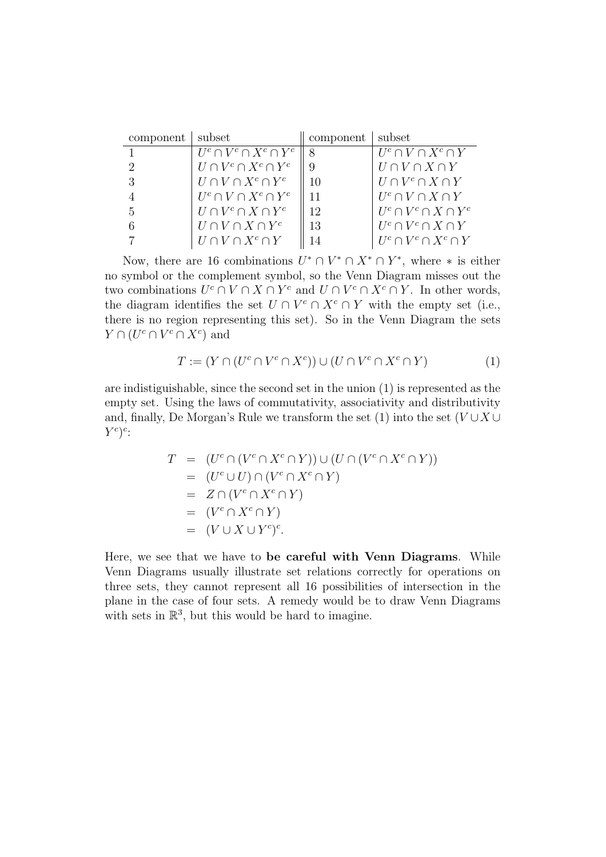| component | subset                           | component   subset |                                |
|-----------|----------------------------------|--------------------|--------------------------------|
|           | $U^c \cap V^c \cap X^c \cap Y^c$ | $\aleph$           | $U^c \cap V \cap X^c \cap Y$   |
|           | $U \cap V^c \cap X^c \cap Y^c$   |                    | $U \cap V \cap X \cap Y$       |
|           | $U \cap V \cap X^c \cap Y^c$     | 10                 | $U \cap V^c \cap X \cap Y$     |
|           | $U^c \cap V \cap X^c \cap Y^c$   | 11                 | $U^c \cap V \cap X \cap Y$     |
| 5         | $U \cap V^c \cap X \cap Y^c$     | 12                 | $U^c \cap V^c \cap X \cap Y^c$ |
|           | $U \cap V \cap X \cap Y^c$       | 13                 | $U^c \cap V^c \cap X \cap Y$   |
|           | $U \cap V \cap X^c \cap Y$       |                    | $U^c \cap V^c \cap X^c \cap Y$ |

Now, there are 16 combinations  $U^* \cap V^* \cap X^* \cap Y^*$ , where  $*$  is either no symbol or the complement symbol, so the Venn Diagram misses out the two combinations  $U^c \cap V \cap X \cap Y^c$  and  $U \cap V^c \cap X^c \cap Y$ . In other words, the diagram identifies the set  $U \cap V^c \cap X^c \cap Y$  with the empty set (i.e., there is no region representing this set). So in the Venn Diagram the sets  $Y \cap (U^c \cap V^c \cap X^c)$  and

$$
T := (Y \cap (U^c \cap V^c \cap X^c)) \cup (U \cap V^c \cap X^c \cap Y) \tag{1}
$$

are indistiguishable, since the second set in the union (1) is represented as the empty set. Using the laws of commutativity, associativity and distributivity and, finally, De Morgan's Rule we transform the set (1) into the set  $(V \cup X \cup Y)$  $Y^c)^c$ :

$$
T = (U^c \cap (V^c \cap X^c \cap Y)) \cup (U \cap (V^c \cap X^c \cap Y))
$$
  
= 
$$
(U^c \cup U) \cap (V^c \cap X^c \cap Y)
$$
  
= 
$$
Z \cap (V^c \cap X^c \cap Y)
$$
  
= 
$$
(V^c \cap X^c \cap Y)
$$
  
= 
$$
(V \cup X \cup Y^c)^c.
$$

Here, we see that we have to be careful with Venn Diagrams. While Venn Diagrams usually illustrate set relations correctly for operations on three sets, they cannot represent all 16 possibilities of intersection in the plane in the case of four sets. A remedy would be to draw Venn Diagrams with sets in  $\mathbb{R}^3$ , but this would be hard to imagine.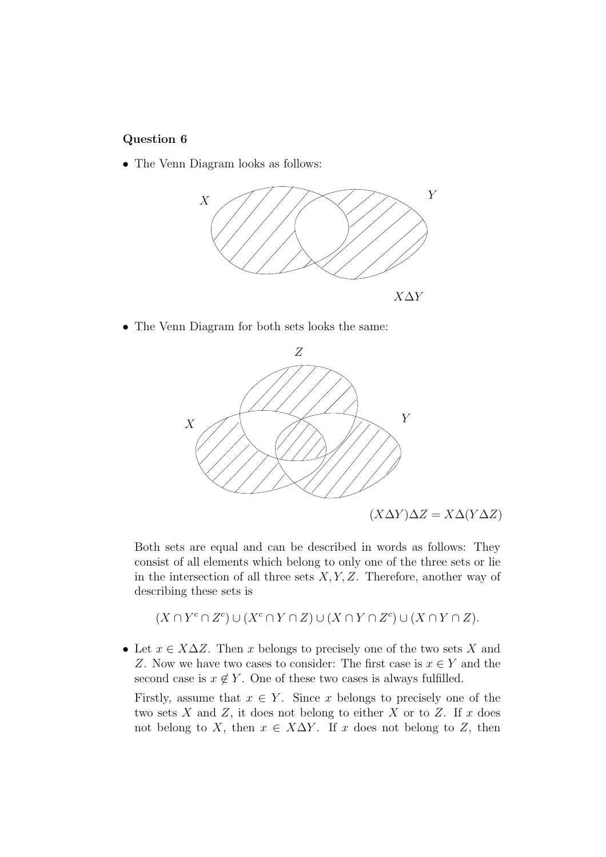## Question 6

• The Venn Diagram looks as follows:



• The Venn Diagram for both sets looks the same:



Both sets are equal and can be described in words as follows: They consist of all elements which belong to only one of the three sets or lie in the intersection of all three sets  $X, Y, Z$ . Therefore, another way of describing these sets is

 $(X \cap Y^c \cap Z^c) \cup (X^c \cap Y \cap Z) \cup (X \cap Y \cap Z^c) \cup (X \cap Y \cap Z).$ 

• Let  $x \in X\Delta Z$ . Then x belongs to precisely one of the two sets X and Z. Now we have two cases to consider: The first case is  $x \in Y$  and the second case is  $x \notin Y$ . One of these two cases is always fulfilled.

Firstly, assume that  $x \in Y$ . Since x belongs to precisely one of the two sets  $X$  and  $Z$ , it does not belong to either  $X$  or to  $Z$ . If  $x$  does not belong to X, then  $x \in X\Delta Y$ . If x does not belong to Z, then